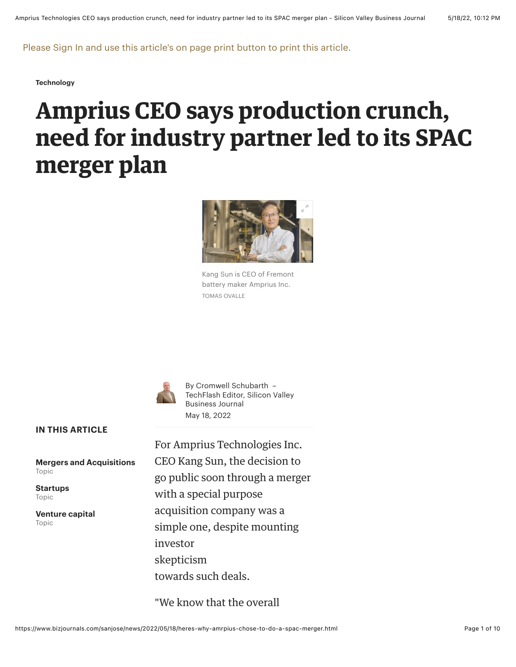Please Sign In and use this article's on page print button to print this article.

**[Technology](https://www.bizjournals.com/sanjose/news/technology/)**

# **Amprius CEO says production crunch, need for industry partner led to its SPAC merger plan**



Kang Sun is CEO of Fremont battery maker Amprius Inc. TOMAS OVALLE



By [Cromwell Schubarth](https://www.bizjournals.com/sanjose/bio/3681/Cromwell+Schubarth) – TechFlash Editor, Silicon Valley Business Journal May 18, 2022

**IN THIS ARTICLE**

**[Mergers and Acquisitions](https://www.bizjournals.com/sanjose/topic/mergers-and-acquisitions)** Topic

**[Startups](https://www.bizjournals.com/sanjose/topic/startups)** Topic

**[Venture capital](https://www.bizjournals.com/sanjose/topic/venture-capital)** Topic

For Amprius Technologies Inc. CEO Kang Sun, the decision to go public soon through a merger with a special purpose acquisition company was a simple one, despite mounting investor skepticism towards such deals.

"We know that the overall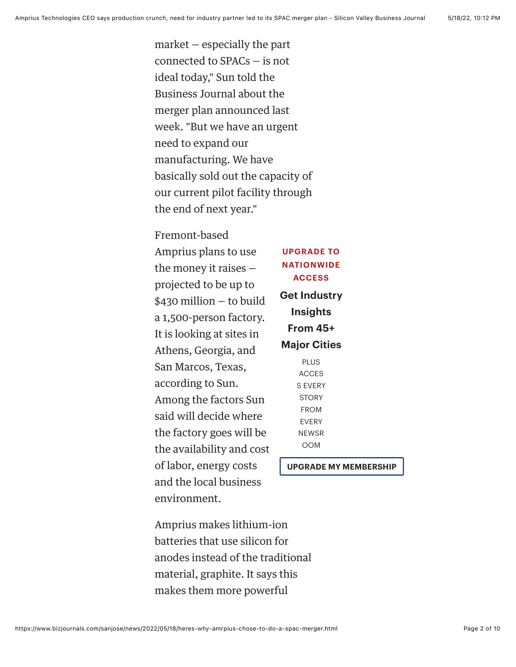market — especially the part connected to SPACs — is not ideal today," Sun told the Business Journal about the merger plan announced last week. "But we have an urgent need to expand our manufacturing. We have basically sold out the capacity of our current pilot facility through the end of next year."

#### Fremont-based

Amprius plans to use the money it raises projected to be up to \$430 million — to build a 1,500-person factory. It is looking at sites in Athens, Georgia, and San Marcos, Texas, according to Sun. Among the factors Sun said will decide where the factory goes will be the availability and cost of labor, energy costs and the local business environment.

**UPGRADE TO NATIONWIDE ACCESS Get Industry Insights From 45+ Major Cities** PLUS

ACCES S EVERY **STORY** FROM EVERY NEWSR OOM

**[UPGRADE MY MEMBERSHIP](https://www.bizjournals.com/bizjournals/subscription?csrc=6308&cpncd=nationaldefault&utm_source=cx&utm_medium=paw&utm_campaign=sb&utm_content=ntlannual)**

Amprius makes lithium-ion batteries that use silicon for anodes instead of the traditional material, graphite. It says this makes them more powerful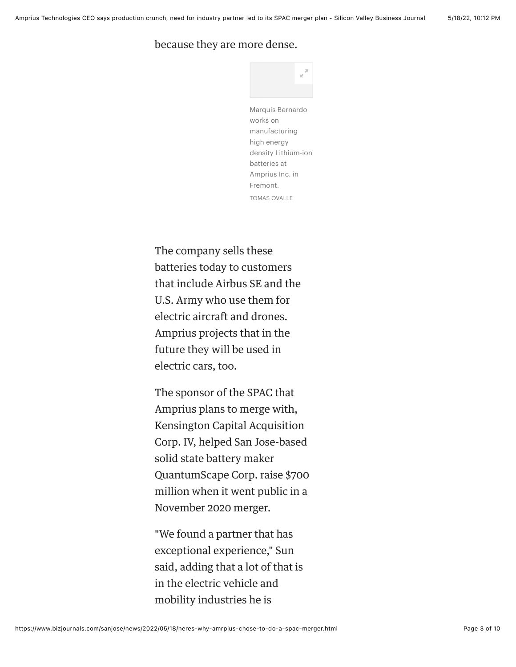#### because they are more dense.



Marquis Bernardo works on manufacturing high energy density Lithium-ion batteries at Amprius Inc. in Fremont. TOMAS OVALLE

The company sells these batteries today to customers that include Airbus SE and the U.S. Army who use them for electric aircraft and drones. Amprius projects that in the future they will be used in electric cars, too.

The sponsor of the SPAC that Amprius plans to merge with, Kensington Capital Acquisition Corp. IV, helped San Jose-based solid state battery maker QuantumScape Corp. raise \$700 million when it went public in a November 2020 merger.

"We found a partner that has exceptional experience," Sun said, adding that a lot of that is in the electric vehicle and mobility industries he is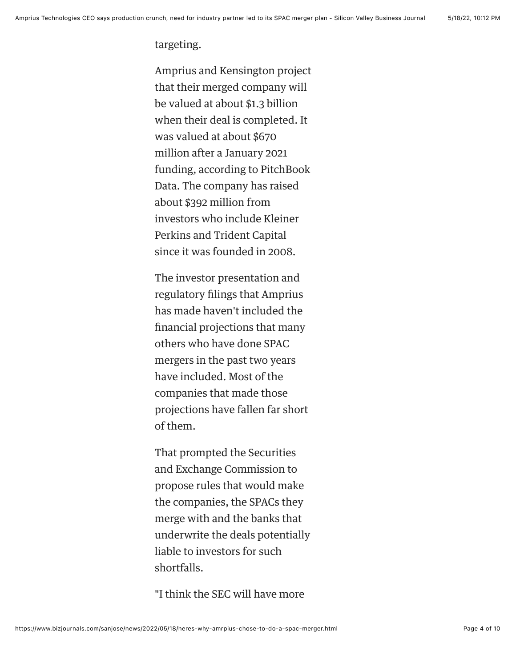targeting.

Amprius and Kensington project that their merged company will be valued at about \$1.3 billion when their deal is completed. It was valued at about \$670 million after a January 2021 funding, according to PitchBook Data. The company has raised about \$392 million from investors who include Kleiner Perkins and Trident Capital since it was founded in 2008.

The investor presentation and regulatory filings that Amprius has made haven't included the financial projections that many others who have done SPAC mergers in the past two years have included. Most of the companies that made those projections have fallen far short of them.

That prompted the Securities and Exchange Commission to propose rules that would make the companies, the SPACs they merge with and the banks that underwrite the deals potentially liable to investors for such shortfalls.

"I think the SEC will have more